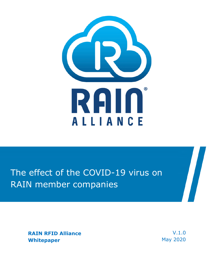

## The effect of the COVID-19 virus on RAIN member companies

**RAIN RFID Alliance Whitepaper** 

V.1.0 May 2020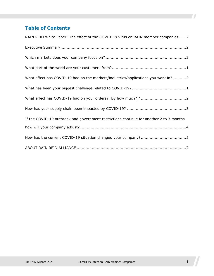### **Table of Contents**

| RAIN RFID White Paper: The effect of the COVID-19 virus on RAIN member companies2       |
|-----------------------------------------------------------------------------------------|
|                                                                                         |
|                                                                                         |
|                                                                                         |
| What effect has COVID-19 had on the markets/industries/applications you work in?2       |
|                                                                                         |
|                                                                                         |
|                                                                                         |
| If the COVID-19 outbreak and government restrictions continue for another 2 to 3 months |
|                                                                                         |
|                                                                                         |
|                                                                                         |

77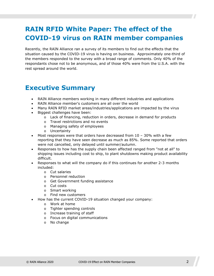### <span id="page-2-0"></span>**RAIN RFID White Paper: The effect of the COVID-19 virus on RAIN member companies**

Recently, the RAIN Alliance ran a survey of its members to find out the effects that the situation caused by the COVID-19 virus is having on business. Approximately one-third of the members responded to the survey with a broad range of comments. Only 40% of the respondants chose not to be anonymous, and of those 40% were from the U.S.A. with the rest spread around the world.

### <span id="page-2-1"></span>**Executive Summary**

- RAIN Alliance members working in many different industries and applications
- RAIN Alliance member's customers are all over the world
- Many RAIN RFID market areas/industries/applications are impacted by the virus
- Biggest challenges have been:
	- o Lack of financing, reduction in orders, decrease in demand for products
	- o Travel restrictions and no events
	- o Managing safety of employees
	- o Uncertainty
- Most responses were that orders have decreased from  $10 30\%$  with a few reporting that they have seen decrease as much as 85%. Some reported that orders were not cancelled, only delayed until summer/autumn.
- Responses to how has the supply chain been affected ranged from "not at all" to shipping issues including cost to ship, to plant shutdowns making product availability difficult.
- Responses to what will the company do if this continues for another 2-3 months included:
	- o Cut salaries
	- o Personnel reduction
	- o Get Government funding assistance
	- o Cut costs
	- o Smart working
	- o Find new customers
- How has the current COVID-19 situation changed your company:
	- o Work at home
	- o Tighter spending controls
	- o Increase training of staff
	- o Focus on digital communications
	- o No change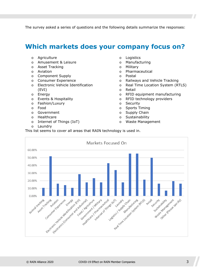The survey asked a series of questions and the following details summarize the responses:

### <span id="page-3-0"></span>**Which markets does your company focus on?**

- o Agriculture
- o Amusement & Leisure
- o Asset Tracking
- o Aviation
- o Component Supply
- o Consumer Experience
- o Electronic Vehicle Identification (EVI)
- o Energy
- o Events & Hospitality
- o Fashion/Luxury
- o Food
- o Government
- o Healthcare
- o Internet of Things (IoT)
- o Laundry
- o Logistics
- o Manufacturing
- o Military
- o Pharmaceutical
- o Postal
- o Railways and Vehicle Tracking
- o Real Time Location System (RTLS)
- o Retail
- o RFID equipment manufacturing
- o RFID technology providers
- o Security
- o Sports Timing
- o Supply Chain
- o Sustainability
- o Waste Management

This list seems to cover all areas that RAIN technology is used in.

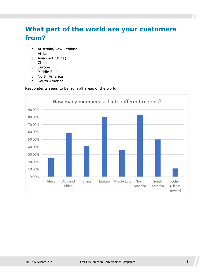### <span id="page-4-0"></span>**What part of the world are your customers from?**

- o Australia/New Zealand
- o Africa
- o Asia (not China)
- o China
- o Europe
- o Middle East
- o North America
- o South America

Respondents seem to be from all areas of the world

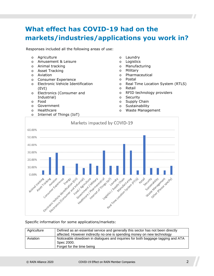### <span id="page-5-0"></span>**What effect has COVID-19 had on the markets/industries/applications you work in?**

Responses included all the following areas of use:

- o Agriculture
- o Amusement & Leisure
- o Animal tracking
- o Asset Tracking
- o Aviation
- o Consumer Experience
- o Electronic Vehicle Identification (EVI)
- o Electronics (Consumer and Industrial)
- o Food
- o Government
- o Healthcare
- o Internet of Things (IoT)
- o Laundry
- o Logistics
- o Manufacturing
- o Military
- o Pharmaceutical
- o Postal
- o Real Time Location System (RTLS)
- o Retail
- o RFID technology providers
- o Security
- o Supply Chain
- o Sustainability
- o Waste Management



#### Specific information for some applications/markets:

| Agriculture | Defined as an essential service and generally this sector has not been directly<br>affected. However indirectly no one is spending money on new technology |
|-------------|------------------------------------------------------------------------------------------------------------------------------------------------------------|
| Aviation    | Noticeable slowdown in dialogues and inquiries for both baggage tagging and ATA<br>Spec 2000.<br>Forget for the time being                                 |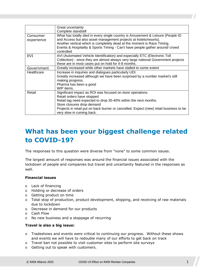|            | Great uncertainty                                                                      |
|------------|----------------------------------------------------------------------------------------|
|            | Complete standstill                                                                    |
| Consumer   | What has totally died in every single country is Amusement & Leisure (People ID        |
| experience | and Access but also asset management projects at hotels/resorts).                      |
|            | Another vertical which is completely dead at the moment is Race Timing.                |
|            | Events & Hospitality & Sports Timing - Can't have people gather around/crowd           |
|            | controlled                                                                             |
| EVI        | AVI (Automated Vehicle Identification) and especially ETC (Electronic Toll             |
|            | Collection) - since they are almost always very large national Government projects     |
|            | these are in most cases put on hold for 4-8 months.                                    |
| Government | Greatly increased while other markets have stalled to some extent                      |
| Healthcare | Increase in inquiries and dialogues particularly UDI.                                  |
|            | Greatly increased although we have been surprised by a number market's still           |
|            | making progress.                                                                       |
|            | Pharma has been a good                                                                 |
|            | WIP items.                                                                             |
| Retail     | Significant impact as ROI was focused on store operations.                             |
|            | Retail orders have stopped                                                             |
|            | Retail tag need expected to drop 35-40% within the next months.                        |
|            | Store closures drop demand                                                             |
|            | Projects in retail put on back burner or cancelled. Expect (new) retail business to be |
|            | very slow in coming back.                                                              |

### <span id="page-6-0"></span>**What has been your biggest challenge related to COVID-19?**

The responses to this question were diverse from "none" to some common issues.

The largest amount of responses was around the financial issues associated with the lockdown of people and companies but travel and uncertainty featured in the responses as well.

#### **Financial issues**

- o Lack of financing
- o Holding or decrease of orders
- o Getting product on time
- o Total stop of production, product development, shipping, and receiving of raw materials due to lockdown
- o Decrease in demand for our products
- o Cash Flow
- o No new business and a stoppage of recurring

#### **Travel is also a big issue:**

- o Tradeshows and events were critical to continuing our progress. Without these shows and events we will have to redouble many of our efforts to get back on track
- o Travel ban not possible to visit customer sites to perform site surveys
- o Getting out to speak with customers.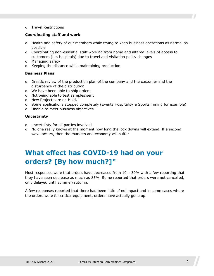o Travel Restrictions

#### **Coordinating staff and work**

- o Health and safety of our members while trying to keep business operations as normal as possible
- o Coordinating non-essential staff working from home and altered levels of access to customers (i.e. hospitals) due to travel and visitation policy changes
- o Managing safety
- o Keeping the distance while maintaining production

#### **Business Plans**

- o Drastic review of the production plan of the company and the customer and the disturbance of the distribution
- o We have been able to ship orders
- o Not being able to test samples sent
- o New Projects are on Hold.
- o Some applications stopped completely (Events Hospitality & Sports Timing for example)
- o Unable to meet business objectives

#### **Uncertainty**

- o uncertainty for all parties involved
- o No one really knows at the moment how long the lock downs will extend. If a second wave occurs, then the markets and economy will suffer

### <span id="page-7-0"></span>**What effect has COVID-19 had on your orders? [By how much?]"**

Most responses were that orders have decreased from  $10 - 30\%$  with a few reporting that they have seen decrease as much as 85%. Some reported that orders were not cancelled, only delayed until summer/autumn.

A few responses reported that there had been little of no impact and in some cases where the orders were for critical equipment, orders have actually gone up.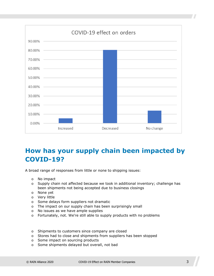

### <span id="page-8-0"></span>**How has your supply chain been impacted by COVID-19?**

A broad range of responses from little or none to shipping issues:

- o No impact
- o Supply chain not affected because we took in additional inventory; challenge has been shipments not being accepted due to business closings
- o None yet
- o Very little
- o Some delays form suppliers not dramatic
- o The impact on our supply chain has been surprisingly small
- o No issues as we have ample supplies
- o Fortunately, not. We're still able to supply products with no problems
- o Shipments to customers since company are closed
- o Stores had to close and shipments from suppliers has been stopped
- o Some impact on sourcing products
- o Some shipments delayed but overall, not bad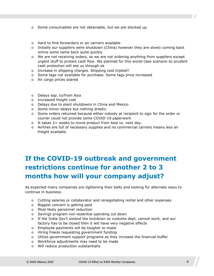- o Some consumables are not obtainable, but we are stocked up
- o Hard to find forwarders or air carriers available
- $\circ$  Initially our suppliers were shutdown (China) however they are slowly coming back online some came back quite quickly
- o We are not receiving orders, so we are not ordering anything from suppliers except urgent stuff to protect cash flow. We planned for this worst-case scenario so prudent cash protection will see us through ok
- o Increase in shipping charges. Shipping cost tripled!!
- o Some tags not available for purchase. Some tags price increased
- o Air cargo prices soared
- o Delays esp. to/from Asia
- o Increased freight cost
- o Delays due to plant shutdowns in China and Mexico
- o Some minor delays but nothing drastic.
- $\circ$  Some orders returned because either nobody at recipient to sign for the order or courier could not provide some COVID-19 paperwork
- o It takes 2+ weeks to move product from Asia vs. next day.
- o Airlines are full of necessary supplies and no commercial carriers means less air freight available.

## <span id="page-9-0"></span>**If the COVID-19 outbreak and government restrictions continue for another 2 to 3 months how will your company adjust?**

As expected many companies are tightening their belts and looking for alternate ways to continue in business.

- o Cutting salaries or collaborator and renegotiating rental and other expenses
- o Biggest concern is getting paid
- o Most likely personnel reduction
- o Savings program non-essential spending cut down
- o If the India Gov't extend the lockdown so customs dept. cannot work, and our factory has to be closed then it will have very negative effects
- o Employee payments will be tougher to make
- o Hiring freeze requesting government funding
- o Utilize government support programs as they increase the financial buffer
- o Workforce adjustments may need to be made
- o Will reduce production substantially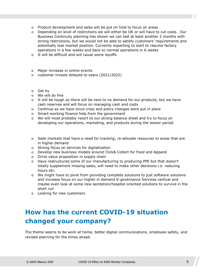- o Product development and sales will be put on hold to focus on areas
- o Depending on level of restrictions we will either be OK or will have to cut costs. Our Business Continuity planning has shown we can last at least another 2 months with strong restrictions, but we would not be able to satisfy customers' requirements and potentially lose market position. Currently expecting to start to resume factory operations in a few weeks and back to normal operations in 6 weeks
- o It will be difficult and will cause some layoffs
- o Major increase in online events
- o customer invests delayed to years (2021/2022)
- o Get by
- o We will do fine
- $\circ$  It will be tough as there will be next to no demand for our products, but we have cash reserves and will focus on managing cash and costs
- o Continue as we have since crisis and policy changes were put in place
- o Smart-working finance help from the government
- o We will most probably resort to our strong balance sheet and try to focus on developing our operations, marketing, and products during the slower period
- o Seek markets that have a need for tracking; re-allocate resources to areas that are in higher demand
- o Strong focus on services for digitalization
- o Develop new business models around Click& Collect for Food and Apparel
- o Drive value proposition in supply chain
- o Have restructured some of our manufacturing to producing PPE but that doesn't totally supplement missing sales; will need to make other decisions i.e. reducing hours etc.
- o We might have to pivot from providing complete solutions to just software solutions and increase focus on our higher in demand E-governance Services vertical and maybe even look at some new sanitation/hospital oriented solutions to survive in the short run
- o Looking for new customers

### <span id="page-10-0"></span>**How has the current COVID-19 situation changed your company?**

The theme seems to be work at home, better digital communications, employee safety, and revised planning for the times ahead.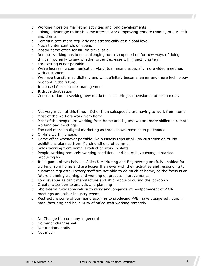- o Working more on marketing activities and long developments
- $\circ$  Taking advantage to finish some internal work improving remote training of our staff and clients
- o Communicate more regularly and strategically at a global level
- o Much tighter controls on spend
- o Mostly home office for all. No travel at all
- $\circ$  Remote working has been challenging but also opened up for new ways of doing things. Too early to say whether order decrease will impact long term
- o Forecasting is not possible
- o We're increasing communication via virtual means especially more video meetings with customers
- o We have transformed digitally and will definitely become leaner and more technology oriented in the future.
- o Increased focus on risk management
- o It drove digitization
- o Concentration on seeking new markets considering suspension in other markets

#### $\circ$  Not very much at this time. Other than salespeople are having to work from home

- o Most of the workers work from home
- o Most of the people are working from home and I guess we are more skilled in remote working and meetings.
- o Focused more on digital marketing as trade shows have been postponed
- o On-line work increase.
- $\circ$  Home office whenever possible. No business trips at all. No customer visits. No exhibitions planned from March until end of summer
- o Sales working from home. Production work in shifts
- o People working remotely working conditions and hours have changed started producing PPE
- o It's a game of two halves Sales & Marketing and Engineering are fully enabled for working from home and are busier than ever with their activities and responding to customer requests. Factory staff are not able to do much at home, so the focus is on future planning training and working on process improvements.
- o Low revenue as can't manufacture and ship products during the lockdown
- o Greater attention to analysis and planning
- o Short-term mitigation return to work and longer-term postponement of RAIN meetings and other industry events.
- o Restructure some of our manufacturing to producing PPE; have staggered hours in manufacturing and have 60% of office staff working remotely
- o No Change for company in general
- o No major changes yet
- o Not fundamentally
- o Not much